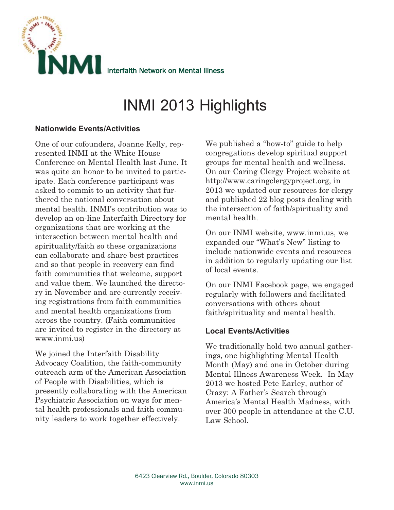

# INMI 2013 Highlights

### **Nationwide Events/Activities**

One of our cofounders, Joanne Kelly, represented INMI at the White House Conference on Mental Health last June. It was quite an honor to be invited to participate. Each conference participant was asked to commit to an activity that furthered the national conversation about mental health. INMI's contribution was to develop an on-line Interfaith Directory for organizations that are working at the intersection between mental health and spirituality/faith so these organizations can collaborate and share best practices and so that people in recovery can find faith communities that welcome, support and value them. We launched the directory in November and are currently receiving registrations from faith communities and mental health organizations from across the country. (Faith communities are invited to register in the directory at www.inmi.us)

We joined the Interfaith Disability Advocacy Coalition, the faith-community outreach arm of the American Association of People with Disabilities, which is presently collaborating with the American Psychiatric Association on ways for mental health professionals and faith community leaders to work together effectively.

We published a "how-to" guide to help congregations develop spiritual support groups for mental health and wellness. On our Caring Clergy Project website at http://www.caringclergyproject.org, in 2013 we updated our resources for clergy and published 22 blog posts dealing with the intersection of faith/spirituality and mental health.

On our INMI website, www.inmi.us, we expanded our "What's New" listing to include nationwide events and resources in addition to regularly updating our list of local events.

On our INMI Facebook page, we engaged regularly with followers and facilitated conversations with others about faith/spirituality and mental health.

## **Local Events/Activities**

We traditionally hold two annual gatherings, one highlighting Mental Health Month (May) and one in October during Mental Illness Awareness Week. In May 2013 we hosted Pete Earley, author of Crazy: A Father's Search through America's Mental Health Madness, with over 300 people in attendance at the C.U. Law School.